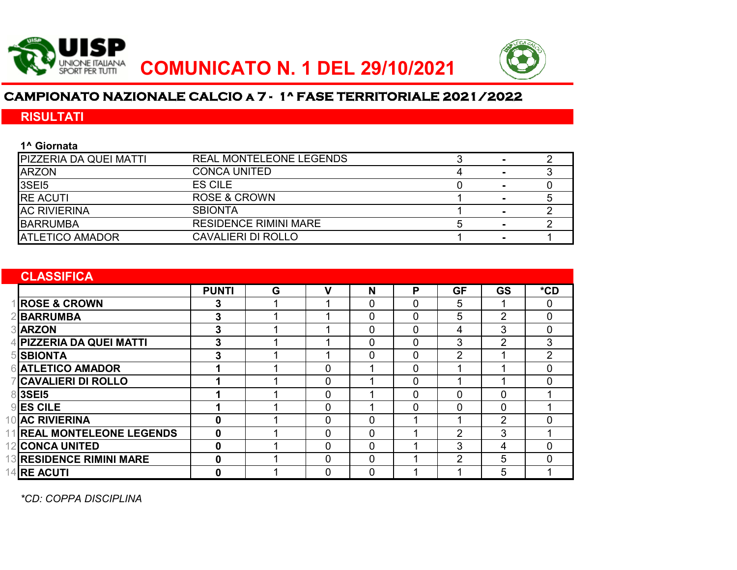



# **CAMPIONATO NAZIONALE CALCIO a 7 - 1^ FASE TERRITORIALE 2021/2022**

## **RISULTATI**

| 1 <sup>^</sup> Giornata       |                                |  |  |
|-------------------------------|--------------------------------|--|--|
| <b>PIZZERIA DA QUEI MATTI</b> | <b>REAL MONTELEONE LEGENDS</b> |  |  |
| <b>ARZON</b>                  | <b>CONCA UNITED</b>            |  |  |
| <b>3SE15</b>                  | ES CILE                        |  |  |
| <b>IRE ACUTI</b>              | ROSE & CROWN                   |  |  |
| <b>AC RIVIERINA</b>           | <b>SBIONTA</b>                 |  |  |
| <b>BARRUMBA</b>               | <b>RESIDENCE RIMINI MARE</b>   |  |  |
| <b>ATLETICO AMADOR</b>        | <b>CAVALIERI DI ROLLO</b>      |  |  |

| <b>CLASSIFICA</b>                |              |   |                |             |              |                |                |                |
|----------------------------------|--------------|---|----------------|-------------|--------------|----------------|----------------|----------------|
|                                  | <b>PUNTI</b> | G | ν              | N           | P            | <b>GF</b>      | <b>GS</b>      | $*$ CD         |
| <b>ROSE &amp; CROWN</b>          | 3            |   |                | 0           | 0            | 5              |                | $\mathbf{0}$   |
| <b>BARRUMBA</b>                  | 3            |   | 4              | 0           | 0            | 5              | $\overline{2}$ | $\overline{0}$ |
| <b>3</b> ARZON                   | 3            |   |                | 0           | 0            | 4              | 3              | $\mathbf 0$    |
| <b>PIZZERIA DA QUEI MATTI</b>    | 3            |   |                | 0           | 0            | 3              | $\overline{2}$ | 3              |
| <b>SBIONTA</b>                   | 3            |   | ◢              | 0           | 0            | $\overline{2}$ |                | 2              |
| <b>ATLETICO AMADOR</b>           | 1            |   | $\mathbf 0$    |             | 0            | ◀              |                | $\mathbf{0}$   |
| <b>CAVALIERI DI ROLLO</b>        |              |   | 0              |             | 0            |                |                | $\mathbf{0}$   |
| <b>3SE15</b>                     |              |   | $\overline{0}$ |             | $\Omega$     | $\Omega$       | $\Omega$       |                |
| $9$ <b>ES CILE</b>               |              |   | 0              |             | $\mathbf{0}$ | 0              | 0              |                |
| 10 AC RIVIERINA                  | $\bf{0}$     |   | 0              | 0           |              | ◢              | $\overline{2}$ | $\Omega$       |
| <b>1 REAL MONTELEONE LEGENDS</b> | 0            |   | 0              | 0           |              | 2              | 3              |                |
| <b>CONCA UNITED</b>              | 0            |   | 0              | 0           |              | 3              | 4              | $\Omega$       |
| <b>13 RESIDENCE RIMINI MARE</b>  | 0            |   | 0              | 0           |              | $\overline{2}$ | 5              | $\Omega$       |
| <b>RE ACUTI</b>                  | $\bf{0}$     |   | $\mathbf 0$    | $\mathbf 0$ |              | ◢              | 5              |                |

*\*CD: COPPA DISCIPLINA*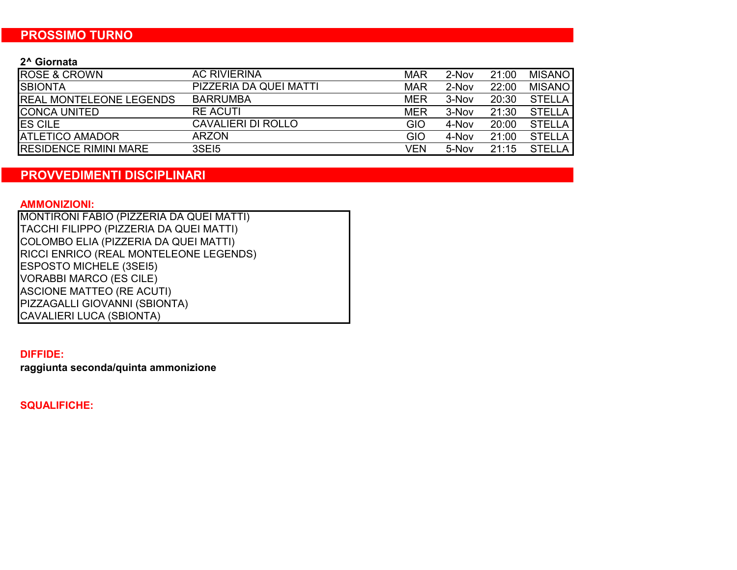### **PROSSIMO TURNO**

#### **2^ Giornata**

| <b>ROSE &amp; CROWN</b>        | <b>AC RIVIERINA</b>    | <b>MAR</b> | 2-Nov | 21:00 | <b>MISANO</b> |
|--------------------------------|------------------------|------------|-------|-------|---------------|
| <b>SBIONTA</b>                 | PIZZERIA DA QUEI MATTI | <b>MAR</b> | 2-Nov | 22:00 | <b>MISANO</b> |
| <b>REAL MONTELEONE LEGENDS</b> | <b>BARRUMBA</b>        | <b>MER</b> | 3-Nov | 20:30 | <b>STELLA</b> |
| <b>ICONCA UNITED</b>           | <b>RE ACUTI</b>        | <b>MER</b> | 3-Nov | 21:30 | <b>STELLA</b> |
| <b>ES CILE</b>                 | CAVALIERI DI ROLLO     | GIO        | 4-Nov | 20:00 | <b>STELLA</b> |
| <b>ATLETICO AMADOR</b>         | <b>ARZON</b>           | GIO        | 4-Nov | 21:00 | <b>STELLA</b> |
| <b>IRESIDENCE RIMINI MARE</b>  | 3SEI5                  | VFN        | 5-Nov | 21:15 | <b>STELLA</b> |

### **PROVVEDIMENTI DISCIPLINARI**

#### **AMMONIZIONI:**

MONTIRONI FABIO (PIZZERIA DA QUEI MATTI) TACCHI FILIPPO (PIZZERIA DA QUEI MATTI) COLOMBO ELIA (PIZZERIA DA QUEI MATTI) RICCI ENRICO (REAL MONTELEONE LEGENDS) ESPOSTO MICHELE (3SEI5) VORABBI MARCO (ES CILE) ASCIONE MATTEO (RE ACUTI) PIZZAGALLI GIOVANNI (SBIONTA) CAVALIERI LUCA (SBIONTA)

#### **DIFFIDE:**

**raggiunta seconda/quinta ammonizione**

**SQUALIFICHE:**